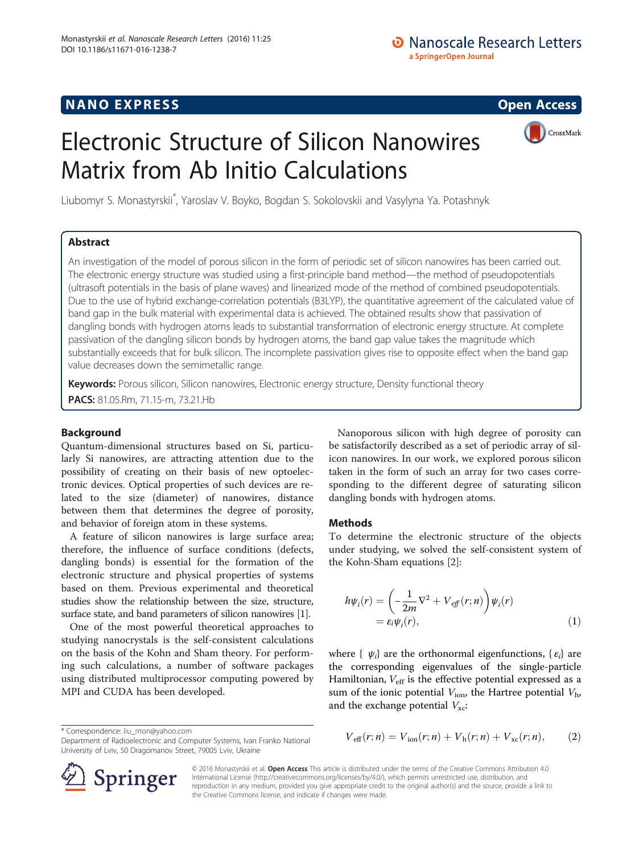# NANO EXPRESS CONTROL CONTROL CONTROL CONTROL CONTROL CONTROL CONTROL CONTROL CONTROL CONTROL CONTROL CONTROL CO

# Electronic Structure of Silicon Nanowires Matrix from Ab Initio Calculations



Liubomyr S. Monastyrskii\* , Yaroslav V. Boyko, Bogdan S. Sokolovskii and Vasylyna Ya. Potashnyk

# Abstract

An investigation of the model of porous silicon in the form of periodic set of silicon nanowires has been carried out. The electronic energy structure was studied using a first-principle band method—the method of pseudopotentials (ultrasoft potentials in the basis of plane waves) and linearized mode of the method of combined pseudopotentials. Due to the use of hybrid exchange-correlation potentials (B3LYP), the quantitative agreement of the calculated value of band gap in the bulk material with experimental data is achieved. The obtained results show that passivation of dangling bonds with hydrogen atoms leads to substantial transformation of electronic energy structure. At complete passivation of the dangling silicon bonds by hydrogen atoms, the band gap value takes the magnitude which substantially exceeds that for bulk silicon. The incomplete passivation gives rise to opposite effect when the band gap value decreases down the semimetallic range.

Keywords: Porous silicon, Silicon nanowires, Electronic energy structure, Density functional theory

PACS: 81.05.Rm, 71.15-m, 73.21.Hb

## Background

Quantum-dimensional structures based on Si, particularly Si nanowires, are attracting attention due to the possibility of creating on their basis of new optoelectronic devices. Optical properties of such devices are related to the size (diameter) of nanowires, distance between them that determines the degree of porosity, and behavior of foreign atom in these systems.

A feature of silicon nanowires is large surface area; therefore, the influence of surface conditions (defects, dangling bonds) is essential for the formation of the electronic structure and physical properties of systems based on them. Previous experimental and theoretical studies show the relationship between the size, structure, surface state, and band parameters of silicon nanowires [\[1\]](#page-3-0).

One of the most powerful theoretical approaches to studying nanocrystals is the self-consistent calculations on the basis of the Kohn and Sham theory. For performing such calculations, a number of software packages using distributed multiprocessor computing powered by MPI and CUDA has been developed.

University of Lviv, 50 Dragomanov Street, 79005 Lviv, Ukraine

Nanoporous silicon with high degree of porosity can be satisfactorily described as a set of periodic array of silicon nanowires. In our work, we explored porous silicon taken in the form of such an array for two cases corresponding to the different degree of saturating silicon dangling bonds with hydrogen atoms.

#### Methods

To determine the electronic structure of the objects under studying, we solved the self-consistent system of the Kohn-Sham equations [[2](#page-3-0)]:

$$
h\psi_i(r) = \left(-\frac{1}{2m}\nabla^2 + V_{\text{eff}}(r;n)\right)\psi_i(r)
$$
  
=  $\varepsilon_i\psi_i(r)$ , (1)

where {  $\psi_i$ } are the orthonormal eigenfunctions, { $\varepsilon_i$ } are the corresponding eigenvalues of the single-particle Hamiltonian,  $V_{\text{eff}}$  is the effective potential expressed as a sum of the ionic potential  $V_{\text{ion}}$ , the Hartree potential  $V_{\text{h}}$ , and the exchange potential  $V_{\text{xc}}$ :

\* Correspondence: liu\_mon@yahoo.com  
Department of Radioelectronic and Computer Systems, Ivan Franko National 
$$
V_{\text{eff}}(r;n) = V_{\text{ion}}(r;n) + V_h(r;n) + V_{\text{xc}}(r;n), \tag{2}
$$



© 2016 Monastyrskii et al. Open Access This article is distributed under the terms of the Creative Commons Attribution 4.0 International License ([http://creativecommons.org/licenses/by/4.0/\)](http://creativecommons.org/licenses/by/4.0/), which permits unrestricted use, distribution, and reproduction in any medium, provided you give appropriate credit to the original author(s) and the source, provide a link to the Creative Commons license, and indicate if changes were made.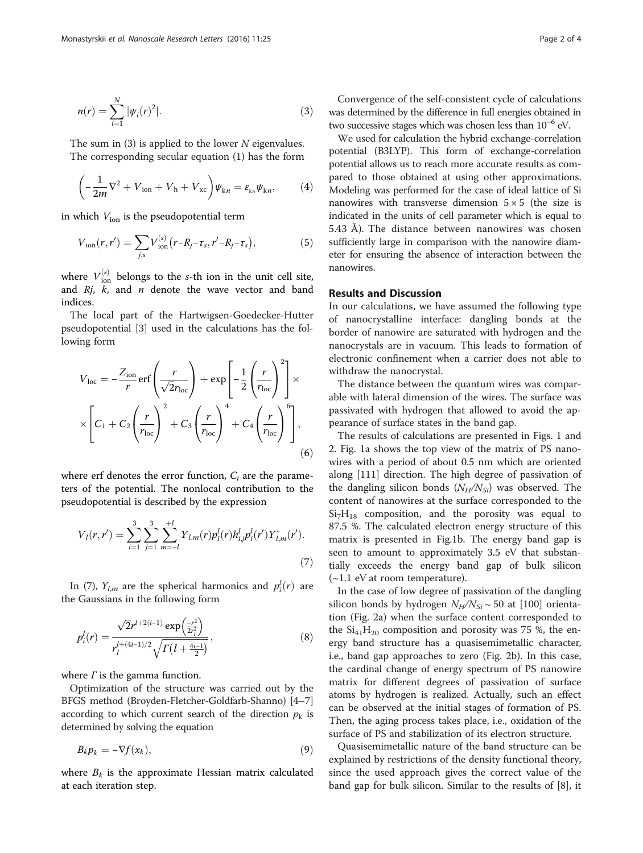$$
n(r) = \sum_{i=1}^{N} |\psi_i(r)|^2.
$$
 (3)

The sum in  $(3)$  is applied to the lower N eigenvalues. The corresponding secular equation (1) has the form

$$
\left(-\frac{1}{2m}\nabla^2 + V_{\text{ion}} + V_{\text{h}} + V_{\text{xc}}\right)\psi_{\text{k}n} = \varepsilon_{\text{k}n}\psi_{\text{k}n},\tag{4}
$$

in which  $V_{\text{ion}}$  is the pseudopotential term

$$
V_{\text{ion}}(r, r') = \sum_{j,s} V_{\text{ion}}^{(s)}(r - R_j - \tau_s, r' - R_j - \tau_s),
$$
 (5)

where  $V_{\text{ion}}^{(s)}$  belongs to the s-th ion in the unit cell site, and  $Rj$ ,  $k$ , and  $n$  denote the wave vector and band indices.

The local part of the Hartwigsen-Goedecker-Hutter pseudopotential [[3](#page-3-0)] used in the calculations has the following form

$$
V_{\text{loc}} = -\frac{Z_{\text{ion}}}{r} \text{erf}\left(\frac{r}{\sqrt{2}r_{\text{loc}}}\right) + \exp\left[-\frac{1}{2}\left(\frac{r}{r_{\text{loc}}}\right)^2\right] \times \times \left[C_1 + C_2 \left(\frac{r}{r_{\text{loc}}}\right)^2 + C_3 \left(\frac{r}{r_{\text{loc}}}\right)^4 + C_4 \left(\frac{r}{r_{\text{loc}}}\right)^6\right],\tag{6}
$$

where erf denotes the error function,  $C_i$  are the parameters of the potential. The nonlocal contribution to the pseudopotential is described by the expression

$$
V_l(r,r') = \sum_{i=1}^{3} \sum_{j=1}^{3} \sum_{m=-l}^{+l} Y_{l,m}(r) p_i^l(r) h_{i,j}^l p_i^l(r') Y_{l,m}^*(r').
$$
\n(7)

In (7),  $Y_{l,m}$  are the spherical harmonics and  $p_i^l(r)$  are the Gaussians in the following form

$$
p_i^l(r) = \frac{\sqrt{2}r^{l+2(i-1)}\exp\left(\frac{-r^2}{2r_l^2}\right)}{r_l^{l+(4i-1)/2}\sqrt{\Gamma\left(l+\frac{4i-1}{2}\right)}},\tag{8}
$$

where  $\Gamma$  is the gamma function.

Optimization of the structure was carried out by the BFGS method (Broyden-Fletcher-Goldfarb-Shanno) [[4](#page-3-0)–[7](#page-3-0)] according to which current search of the direction  $p_k$  is determined by solving the equation

$$
B_k p_k = -\nabla f(x_k),\tag{9}
$$

where  $B_k$  is the approximate Hessian matrix calculated at each iteration step.

Convergence of the self-consistent cycle of calculations was determined by the difference in full energies obtained in two successive stages which was chosen less than  $10^{-6}$  eV.

We used for calculation the hybrid exchange-correlation potential (B3LYP). This form of exchange-correlation potential allows us to reach more accurate results as compared to those obtained at using other approximations. Modeling was performed for the case of ideal lattice of Si nanowires with transverse dimension  $5 \times 5$  (the size is indicated in the units of cell parameter which is equal to 5.43 Å). The distance between nanowires was chosen sufficiently large in comparison with the nanowire diameter for ensuring the absence of interaction between the nanowires.

#### Results and Discussion

In our calculations, we have assumed the following type of nanocrystalline interface: dangling bonds at the border of nanowire are saturated with hydrogen and the nanocrystals are in vacuum. This leads to formation of electronic confinement when a carrier does not able to withdraw the nanocrystal.

The distance between the quantum wires was comparable with lateral dimension of the wires. The surface was passivated with hydrogen that allowed to avoid the appearance of surface states in the band gap.

The results of calculations are presented in Figs. [1](#page-2-0) and [2.](#page-2-0) Fig. [1](#page-2-0)a shows the top view of the matrix of PS nanowires with a period of about 0.5 nm which are oriented along [111] direction. The high degree of passivation of the dangling silicon bonds  $(N_H/N_{Si})$  was observed. The content of nanowires at the surface corresponded to the  $Si<sub>7</sub>H<sub>18</sub>$  composition, and the porosity was equal to 87.5 %. The calculated electron energy structure of this matrix is presented in Fig.[1b](#page-2-0). The energy band gap is seen to amount to approximately 3.5 eV that substantially exceeds the energy band gap of bulk silicon  $(-1.1$  eV at room temperature).

In the case of low degree of passivation of the dangling silicon bonds by hydrogen  $N_H/N_{Si} \sim 50$  at [100] orientation (Fig. [2a](#page-2-0)) when the surface content corresponded to the  $Si<sub>41</sub>H<sub>20</sub>$  composition and porosity was 75 %, the energy band structure has a quasisemimetallic character, i.e., band gap approaches to zero (Fig. [2b](#page-2-0)). In this case, the cardinal change of energy spectrum of PS nanowire matrix for different degrees of passivation of surface atoms by hydrogen is realized. Actually, such an effect can be observed at the initial stages of formation of PS. Then, the aging process takes place, i.e., oxidation of the surface of PS and stabilization of its electron structure.

Quasisemimetallic nature of the band structure can be explained by restrictions of the density functional theory, since the used approach gives the correct value of the band gap for bulk silicon. Similar to the results of [\[8](#page-3-0)], it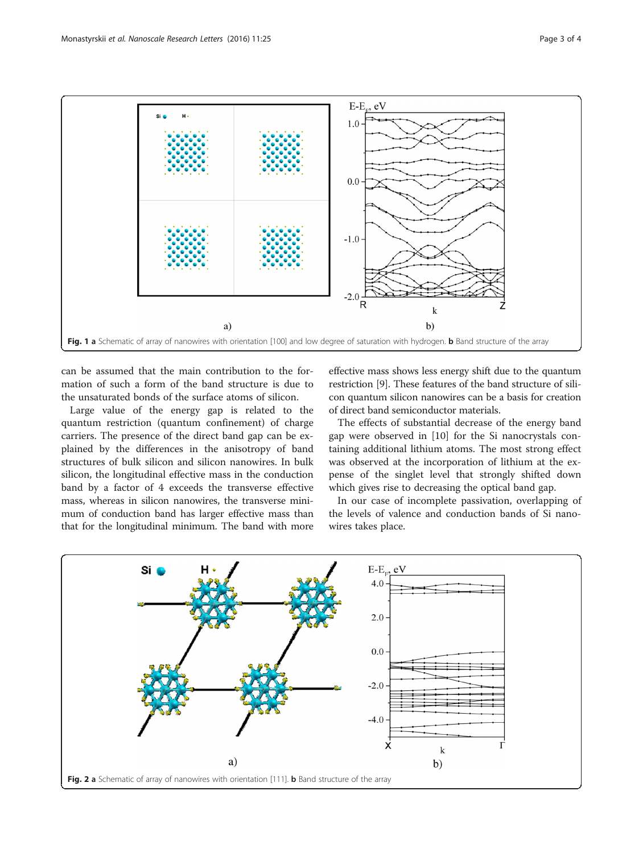<span id="page-2-0"></span>

can be assumed that the main contribution to the formation of such a form of the band structure is due to the unsaturated bonds of the surface atoms of silicon.

Large value of the energy gap is related to the quantum restriction (quantum confinement) of charge carriers. The presence of the direct band gap can be explained by the differences in the anisotropy of band structures of bulk silicon and silicon nanowires. In bulk silicon, the longitudinal effective mass in the conduction band by a factor of 4 exceeds the transverse effective mass, whereas in silicon nanowires, the transverse minimum of conduction band has larger effective mass than that for the longitudinal minimum. The band with more

effective mass shows less energy shift due to the quantum restriction [[9](#page-3-0)]. These features of the band structure of silicon quantum silicon nanowires can be a basis for creation of direct band semiconductor materials.

The effects of substantial decrease of the energy band gap were observed in [\[10\]](#page-3-0) for the Si nanocrystals containing additional lithium atoms. The most strong effect was observed at the incorporation of lithium at the expense of the singlet level that strongly shifted down which gives rise to decreasing the optical band gap.

In our case of incomplete passivation, overlapping of the levels of valence and conduction bands of Si nanowires takes place.